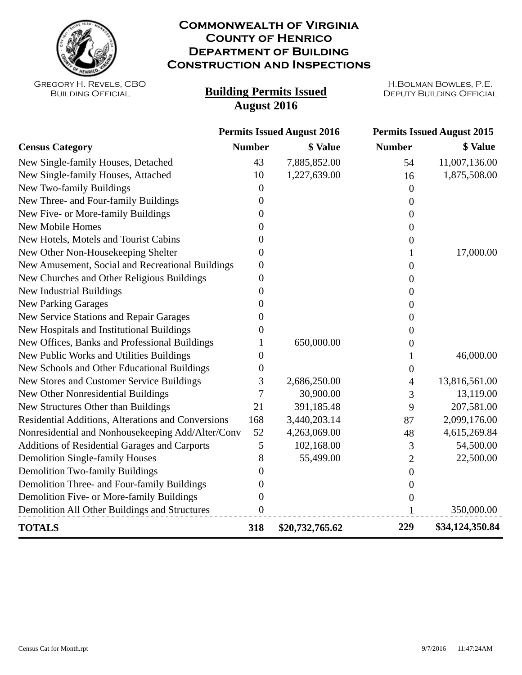

## **Commonwealth of Virginia County of Henrico Department of Building Construction and Inspections**

Gregory H. Revels, CBO Building Official

## **Building Permits Issued August 2016**

H.Bolman Bowles, P.E.

|                                                    | <b>Permits Issued August 2016</b> |                 | <b>Permits Issued August 2015</b> |                 |
|----------------------------------------------------|-----------------------------------|-----------------|-----------------------------------|-----------------|
| <b>Census Category</b>                             | <b>Number</b>                     | \$ Value        | <b>Number</b>                     | \$ Value        |
| New Single-family Houses, Detached                 | 43                                | 7,885,852.00    | 54                                | 11,007,136.00   |
| New Single-family Houses, Attached                 | 10                                | 1,227,639.00    | 16                                | 1,875,508.00    |
| New Two-family Buildings                           | $\Omega$                          |                 | 0                                 |                 |
| New Three- and Four-family Buildings               | 0                                 |                 | 0                                 |                 |
| New Five- or More-family Buildings                 | 0                                 |                 | 0                                 |                 |
| <b>New Mobile Homes</b>                            | 0                                 |                 | 0                                 |                 |
| New Hotels, Motels and Tourist Cabins              | 0                                 |                 | 0                                 |                 |
| New Other Non-Housekeeping Shelter                 | 0                                 |                 | 1                                 | 17,000.00       |
| New Amusement, Social and Recreational Buildings   | $\overline{0}$                    |                 | $\boldsymbol{0}$                  |                 |
| New Churches and Other Religious Buildings         | $\boldsymbol{0}$                  |                 | 0                                 |                 |
| <b>New Industrial Buildings</b>                    | 0                                 |                 | 0                                 |                 |
| <b>New Parking Garages</b>                         | $\theta$                          |                 | 0                                 |                 |
| New Service Stations and Repair Garages            | $\theta$                          |                 | 0                                 |                 |
| New Hospitals and Institutional Buildings          | $\theta$                          |                 | 0                                 |                 |
| New Offices, Banks and Professional Buildings      |                                   | 650,000.00      | 0                                 |                 |
| New Public Works and Utilities Buildings           | 0                                 |                 |                                   | 46,000.00       |
| New Schools and Other Educational Buildings        | $\theta$                          |                 | 0                                 |                 |
| New Stores and Customer Service Buildings          | 3                                 | 2,686,250.00    | 4                                 | 13,816,561.00   |
| New Other Nonresidential Buildings                 | $\overline{7}$                    | 30,900.00       | 3                                 | 13,119.00       |
| New Structures Other than Buildings                | 21                                | 391,185.48      | 9                                 | 207,581.00      |
| Residential Additions, Alterations and Conversions | 168                               | 3,440,203.14    | 87                                | 2,099,176.00    |
| Nonresidential and Nonhousekeeping Add/Alter/Conv  | 52                                | 4,263,069.00    | 48                                | 4,615,269.84    |
| Additions of Residential Garages and Carports      | $\mathfrak{S}$                    | 102,168.00      | 3                                 | 54,500.00       |
| <b>Demolition Single-family Houses</b>             | 8                                 | 55,499.00       | $\overline{2}$                    | 22,500.00       |
| <b>Demolition Two-family Buildings</b>             | $\overline{0}$                    |                 | $\boldsymbol{0}$                  |                 |
| Demolition Three- and Four-family Buildings        | 0                                 |                 | 0                                 |                 |
| Demolition Five- or More-family Buildings          | $\overline{0}$                    |                 | 0                                 |                 |
| Demolition All Other Buildings and Structures      | $\boldsymbol{0}$                  |                 | 1                                 | 350,000.00      |
| <b>TOTALS</b>                                      | 318                               | \$20,732,765.62 | 229                               | \$34,124,350.84 |